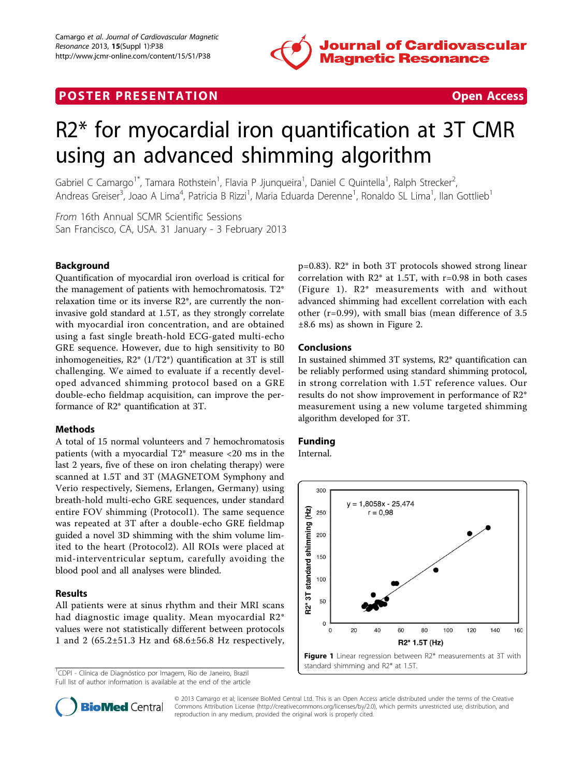

## **POSTER PRESENTATION CONSUMING THE SECOND CONSUMING THE SECOND CONSUMING THE SECOND CONSUMING THE SECOND CONSUMING THE SECOND CONSUMING THE SECOND CONSUMING THE SECOND CONSUMING THE SECOND CONSUMING THE SECOND CONSUMING**



# R2\* for myocardial iron quantification at 3T CMR using an advanced shimming algorithm

Gabriel C Camargo<sup>1\*</sup>, Tamara Rothstein<sup>1</sup>, Flavia P Jjunqueira<sup>1</sup>, Daniel C Quintella<sup>1</sup>, Ralph Strecker<sup>2</sup> .<br>, Andreas Greiser<sup>3</sup>, Joao A Lima<sup>4</sup>, Patricia B Rizzi<sup>1</sup>, Maria Eduarda Derenne<sup>1</sup>, Ronaldo SL Lima<sup>1</sup>, Ilan Gottlieb<sup>1</sup>

From 16th Annual SCMR Scientific Sessions San Francisco, CA, USA. 31 January - 3 February 2013

#### Background

Quantification of myocardial iron overload is critical for the management of patients with hemochromatosis. T2\* relaxation time or its inverse R2\*, are currently the noninvasive gold standard at 1.5T, as they strongly correlate with myocardial iron concentration, and are obtained using a fast single breath-hold ECG-gated multi-echo GRE sequence. However, due to high sensitivity to B0 inhomogeneities,  $R2^*$  (1/T2<sup>\*</sup>) quantification at 3T is still challenging. We aimed to evaluate if a recently developed advanced shimming protocol based on a GRE double-echo fieldmap acquisition, can improve the performance of R2\* quantification at 3T.

#### Methods

A total of 15 normal volunteers and 7 hemochromatosis patients (with a myocardial T2\* measure <20 ms in the last 2 years, five of these on iron chelating therapy) were scanned at 1.5T and 3T (MAGNETOM Symphony and Verio respectively, Siemens, Erlangen, Germany) using breath-hold multi-echo GRE sequences, under standard entire FOV shimming (Protocol1). The same sequence was repeated at 3T after a double-echo GRE fieldmap guided a novel 3D shimming with the shim volume limited to the heart (Protocol2). All ROIs were placed at mid-interventricular septum, carefully avoiding the blood pool and all analyses were blinded.

#### Results

All patients were at sinus rhythm and their MRI scans had diagnostic image quality. Mean myocardial R2\* values were not statistically different between protocols 1 and 2 (65.2±51.3 Hz and 68.6±56.8 Hz respectively,

<sup>1</sup>CDPI - Clínica de Diagnóstico por Imagem, Rio de Janeiro, Brazil Full list of author information is available at the end of the article p=0.83). R2\* in both 3T protocols showed strong linear correlation with R2\* at 1.5T, with r=0.98 in both cases (Figure 1). R2\* measurements with and without advanced shimming had excellent correlation with each other (r=0.99), with small bias (mean difference of 3.5 ±8.6 ms) as shown in Figure [2.](#page-1-0)

#### Conclusions

In sustained shimmed 3T systems, R2\* quantification can be reliably performed using standard shimming protocol, in strong correlation with 1.5T reference values. Our results do not show improvement in performance of R2\* measurement using a new volume targeted shimming algorithm developed for 3T.

### Funding

Internal.





© 2013 Camargo et al; licensee BioMed Central Ltd. This is an Open Access article distributed under the terms of the Creative Commons Attribution License [\(http://creativecommons.org/licenses/by/2.0](http://creativecommons.org/licenses/by/2.0)), which permits unrestricted use, distribution, and reproduction in any medium, provided the original work is properly cited.